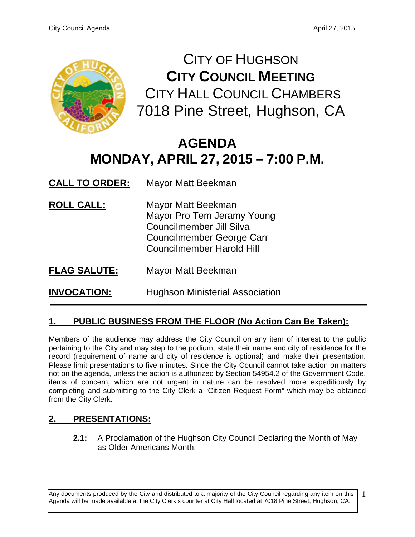

CITY OF HUGHSON **CITY COUNCIL MEETING** CITY HALL COUNCIL CHAMBERS 7018 Pine Street, Hughson, CA

# **AGENDA MONDAY, APRIL 27, 2015 – 7:00 P.M.**

- **CALL TO ORDER:** Mayor Matt Beekman
- **ROLL CALL:** Mayor Matt Beekman Mayor Pro Tem Jeramy Young Councilmember Jill Silva Councilmember George Carr Councilmember Harold Hill
- **FLAG SALUTE:** Mayor Matt Beekman

**INVOCATION:** Hughson Ministerial Association

# **1. PUBLIC BUSINESS FROM THE FLOOR (No Action Can Be Taken):**

Members of the audience may address the City Council on any item of interest to the public pertaining to the City and may step to the podium, state their name and city of residence for the record (requirement of name and city of residence is optional) and make their presentation. Please limit presentations to five minutes. Since the City Council cannot take action on matters not on the agenda, unless the action is authorized by Section 54954.2 of the Government Code, items of concern, which are not urgent in nature can be resolved more expeditiously by completing and submitting to the City Clerk a "Citizen Request Form" which may be obtained from the City Clerk.

# **2. PRESENTATIONS:**

**2.1:** A Proclamation of the Hughson City Council Declaring the Month of May as Older Americans Month.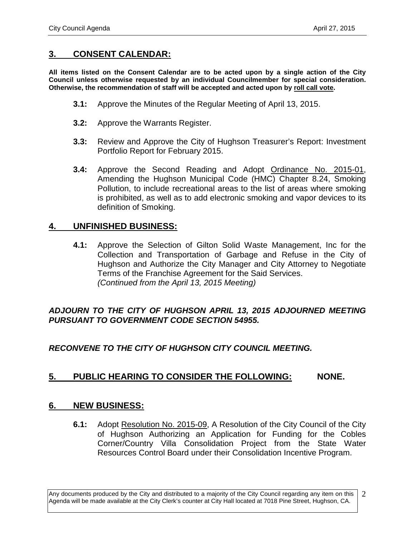## **3. CONSENT CALENDAR:**

**All items listed on the Consent Calendar are to be acted upon by a single action of the City Council unless otherwise requested by an individual Councilmember for special consideration. Otherwise, the recommendation of staff will be accepted and acted upon by roll call vote.**

- **3.1:** Approve the Minutes of the Regular Meeting of April 13, 2015.
- **3.2:** Approve the Warrants Register.
- **3.3:** Review and Approve the City of Hughson Treasurer's Report: Investment Portfolio Report for February 2015.
- **3.4:** Approve the Second Reading and Adopt Ordinance No. 2015-01, Amending the Hughson Municipal Code (HMC) Chapter 8.24, Smoking Pollution, to include recreational areas to the list of areas where smoking is prohibited, as well as to add electronic smoking and vapor devices to its definition of Smoking.

### **4. UNFINISHED BUSINESS:**

**4.1:** Approve the Selection of Gilton Solid Waste Management, Inc for the Collection and Transportation of Garbage and Refuse in the City of Hughson and Authorize the City Manager and City Attorney to Negotiate Terms of the Franchise Agreement for the Said Services. *(Continued from the April 13, 2015 Meeting)*

#### *ADJOURN TO THE CITY OF HUGHSON APRIL 13, 2015 ADJOURNED MEETING PURSUANT TO GOVERNMENT CODE SECTION 54955.*

#### *RECONVENE TO THE CITY OF HUGHSON CITY COUNCIL MEETING.*

# **5. PUBLIC HEARING TO CONSIDER THE FOLLOWING: NONE.**

#### **6. NEW BUSINESS:**

**6.1:** Adopt Resolution No. 2015-09, A Resolution of the City Council of the City of Hughson Authorizing an Application for Funding for the Cobles Corner/Country Villa Consolidation Project from the State Water Resources Control Board under their Consolidation Incentive Program.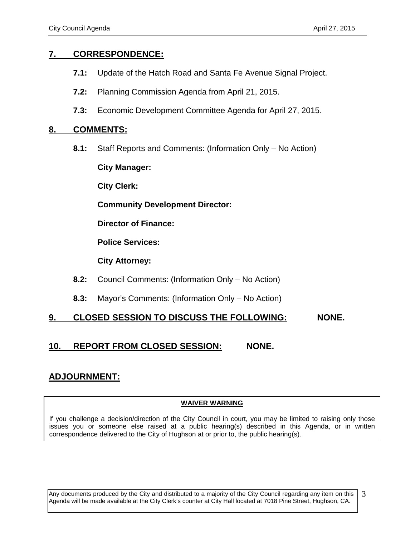## **7. CORRESPONDENCE:**

- **7.1:** Update of the Hatch Road and Santa Fe Avenue Signal Project.
- **7.2:** Planning Commission Agenda from April 21, 2015.
- **7.3:** Economic Development Committee Agenda for April 27, 2015.

#### **8. COMMENTS:**

**8.1:** Staff Reports and Comments: (Information Only – No Action)

**City Manager:** 

**City Clerk:**

**Community Development Director:**

**Director of Finance:**

**Police Services:**

**City Attorney:**

- **8.2:** Council Comments: (Information Only No Action)
- **8.3:** Mayor's Comments: (Information Only No Action)

# **9. CLOSED SESSION TO DISCUSS THE FOLLOWING: NONE.**

# **10. REPORT FROM CLOSED SESSION: NONE.**

# **ADJOURNMENT:**

#### **WAIVER WARNING**

If you challenge a decision/direction of the City Council in court, you may be limited to raising only those issues you or someone else raised at a public hearing(s) described in this Agenda, or in written correspondence delivered to the City of Hughson at or prior to, the public hearing(s).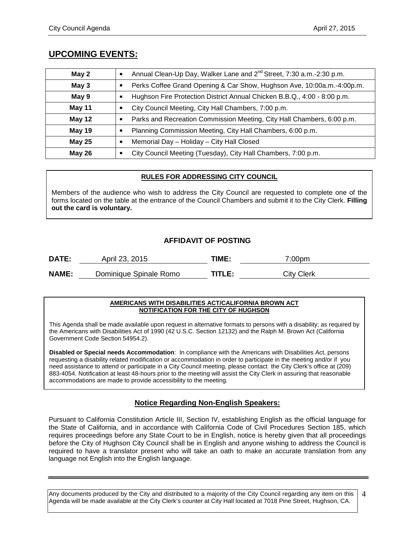# **UPCOMING EVENTS:**

| May 2         | Annual Clean-Up Day, Walker Lane and 2 <sup>nd</sup> Street, 7:30 a.m.-2:30 p.m.<br>Ξ    |
|---------------|------------------------------------------------------------------------------------------|
| May 3         | Perks Coffee Grand Opening & Car Show, Hughson Ave, 10:00a.m.-4:00p.m.<br>٠              |
| May 9         | Hughson Fire Protection District Annual Chicken B.B.Q., 4:00 - 8:00 p.m.                 |
| May 11        | City Council Meeting, City Hall Chambers, 7:00 p.m.<br>٠                                 |
| <b>May 12</b> | Parks and Recreation Commission Meeting, City Hall Chambers, 6:00 p.m.<br>$\blacksquare$ |
| <b>May 19</b> | Planning Commission Meeting, City Hall Chambers, 6:00 p.m.<br>٠                          |
| <b>May 25</b> | Memorial Day - Holiday - City Hall Closed<br>п                                           |
| <b>May 26</b> | City Council Meeting (Tuesday), City Hall Chambers, 7:00 p.m.                            |

#### **RULES FOR ADDRESSING CITY COUNCIL**

Members of the audience who wish to address the City Council are requested to complete one of the forms located on the table at the entrance of the Council Chambers and submit it to the City Clerk. **Filling out the card is voluntary.**

#### **AFFIDAVIT OF POSTING**

| <b>DATE:</b> | April 23, 2015         | TIME:  | 7:00pm            |
|--------------|------------------------|--------|-------------------|
| <b>NAME:</b> | Dominique Spinale Romo | TITLE: | <b>City Clerk</b> |

#### **AMERICANS WITH DISABILITIES ACT/CALIFORNIA BROWN ACT NOTIFICATION FOR THE CITY OF HUGHSON**

This Agenda shall be made available upon request in alternative formats to persons with a disability; as required by the Americans with Disabilities Act of 1990 (42 U.S.C. Section 12132) and the Ralph M. Brown Act (California Government Code Section 54954.2).

**Disabled or Special needs Accommodation**: In compliance with the Americans with Disabilities Act, persons requesting a disability related modification or accommodation in order to participate in the meeting and/or if you need assistance to attend or participate in a City Council meeting, please contact the City Clerk's office at (209) 883-4054. Notification at least 48-hours prior to the meeting will assist the City Clerk in assuring that reasonable accommodations are made to provide accessibility to the meeting.

#### **Notice Regarding Non-English Speakers:**

Pursuant to California Constitution Article III, Section IV, establishing English as the official language for the State of California, and in accordance with California Code of Civil Procedures Section 185, which requires proceedings before any State Court to be in English, notice is hereby given that all proceedings before the City of Hughson City Council shall be in English and anyone wishing to address the Council is required to have a translator present who will take an oath to make an accurate translation from any language not English into the English language.